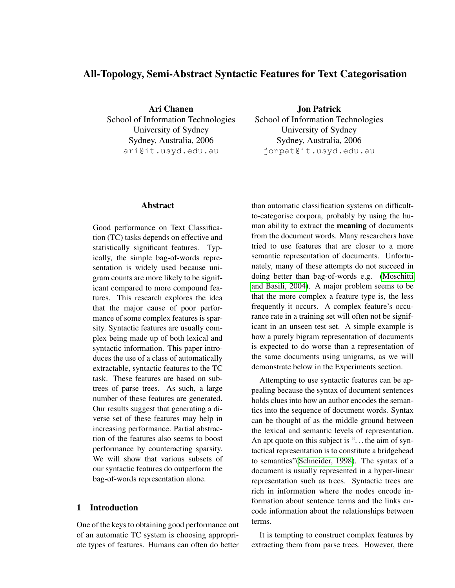# All-Topology, Semi-Abstract Syntactic Features for Text Categorisation

Ari Chanen School of Information Technologies University of Sydney Sydney, Australia, 2006 ari@it.usyd.edu.au

Jon Patrick School of Information Technologies University of Sydney Sydney, Australia, 2006 jonpat@it.usyd.edu.au

### Abstract

Good performance on Text Classification (TC) tasks depends on effective and statistically significant features. Typically, the simple bag-of-words representation is widely used because unigram counts are more likely to be significant compared to more compound features. This research explores the idea that the major cause of poor performance of some complex features is sparsity. Syntactic features are usually complex being made up of both lexical and syntactic information. This paper introduces the use of a class of automatically extractable, syntactic features to the TC task. These features are based on subtrees of parse trees. As such, a large number of these features are generated. Our results suggest that generating a diverse set of these features may help in increasing performance. Partial abstraction of the features also seems to boost performance by counteracting sparsity. We will show that various subsets of our syntactic features do outperform the bag-of-words representation alone.

# 1 Introduction

One of the keys to obtaining good performance out of an automatic TC system is choosing appropriate types of features. Humans can often do better

than automatic classification systems on difficultto-categorise corpora, probably by using the human ability to extract the meaning of documents from the document words. Many researchers have tried to use features that are closer to a more semantic representation of documents. Unfortunately, many of these attempts do not succeed in doing better than bag-of-words e.g. [\(Moschitti](#page-7-0) [and Basili, 2004\)](#page-7-0). A major problem seems to be that the more complex a feature type is, the less frequently it occurs. A complex feature's occurance rate in a training set will often not be significant in an unseen test set. A simple example is how a purely bigram representation of documents is expected to do worse than a representation of the same documents using unigrams, as we will demonstrate below in the Experiments section.

Attempting to use syntactic features can be appealing because the syntax of document sentences holds clues into how an author encodes the semantics into the sequence of document words. Syntax can be thought of as the middle ground between the lexical and semantic levels of representation. An apt quote on this subject is "... the aim of syntactical representation is to constitute a bridgehead to semantics"[\(Schneider, 1998\)](#page-8-0). The syntax of a document is usually represented in a hyper-linear representation such as trees. Syntactic trees are rich in information where the nodes encode information about sentence terms and the links encode information about the relationships between terms.

It is tempting to construct complex features by extracting them from parse trees. However, there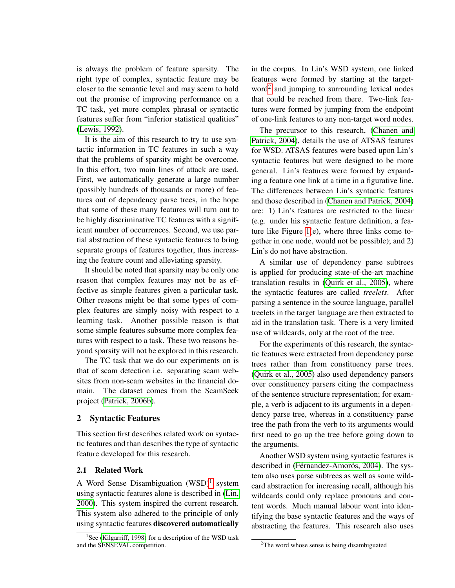is always the problem of feature sparsity. The right type of complex, syntactic feature may be closer to the semantic level and may seem to hold out the promise of improving performance on a TC task, yet more complex phrasal or syntactic features suffer from "inferior statistical qualities" [\(Lewis, 1992\)](#page-7-1).

It is the aim of this research to try to use syntactic information in TC features in such a way that the problems of sparsity might be overcome. In this effort, two main lines of attack are used. First, we automatically generate a large number (possibly hundreds of thousands or more) of features out of dependency parse trees, in the hope that some of these many features will turn out to be highly discriminative TC features with a significant number of occurrences. Second, we use partial abstraction of these syntactic features to bring separate groups of features together, thus increasing the feature count and alleviating sparsity.

It should be noted that sparsity may be only one reason that complex features may not be as effective as simple features given a particular task. Other reasons might be that some types of complex features are simply noisy with respect to a learning task. Another possible reason is that some simple features subsume more complex features with respect to a task. These two reasons beyond sparsity will not be explored in this research.

The TC task that we do our experiments on is that of scam detection i.e. separating scam websites from non-scam websites in the financial domain. The dataset comes from the ScamSeek project [\(Patrick, 2006b\)](#page-7-2).

### 2 Syntactic Features

This section first describes related work on syntactic features and than describes the type of syntactic feature developed for this research.

#### 2.1 Related Work

A Word Sense Disambiguation (WSD)<sup>[1](#page-1-0)</sup> system using syntactic features alone is described in [\(Lin,](#page-7-3) [2000\)](#page-7-3). This system inspired the current research. This system also adhered to the principle of only using syntactic features discovered automatically in the corpus. In Lin's WSD system, one linked features were formed by starting at the targetword[2](#page-1-1) and jumping to surrounding lexical nodes that could be reached from there. Two-link features were formed by jumping from the endpoint of one-link features to any non-target word nodes.

The precursor to this research, [\(Chanen and](#page-7-5) [Patrick, 2004\)](#page-7-5), details the use of ATSAS features for WSD. ATSAS features were based upon Lin's syntactic features but were designed to be more general. Lin's features were formed by expanding a feature one link at a time in a figurative line. The differences between Lin's syntactic features and those described in [\(Chanen and Patrick, 2004\)](#page-7-5) are: 1) Lin's features are restricted to the linear (e.g. under his syntactic feature definition, a feature like Figure [1\(](#page-3-0)e), where three links come together in one node, would not be possible); and 2) Lin's do not have abstraction.

A similar use of dependency parse subtrees is applied for producing state-of-the-art machine translation results in [\(Quirk et al., 2005\)](#page-7-6), where the syntactic features are called *treelets*. After parsing a sentence in the source language, parallel treelets in the target language are then extracted to aid in the translation task. There is a very limited use of wildcards, only at the root of the tree.

For the experiments of this research, the syntactic features were extracted from dependency parse trees rather than from constituency parse trees. [\(Quirk et al., 2005\)](#page-7-6) also used dependency parsers over constituency parsers citing the compactness of the sentence structure representation; for example, a verb is adjacent to its arguments in a dependency parse tree, whereas in a constituency parse tree the path from the verb to its arguments would first need to go up the tree before going down to the arguments.

Another WSD system using syntactic features is described in (Férnandez-Amorós, 2004). The system also uses parse subtrees as well as some wildcard abstraction for increasing recall, although his wildcards could only replace pronouns and content words. Much manual labour went into identifying the base syntactic features and the ways of abstracting the features. This research also uses

<span id="page-1-0"></span><sup>&</sup>lt;sup>1</sup>See [\(Kilgarriff, 1998\)](#page-7-4) for a description of the WSD task and the SENSEVAL competition.

<span id="page-1-1"></span> $2$ The word whose sense is being disambiguated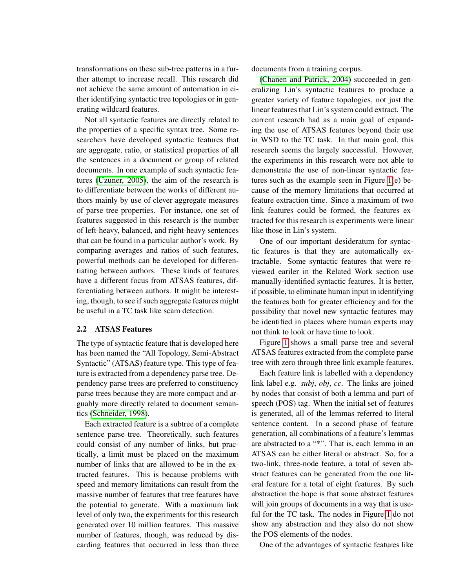transformations on these sub-tree patterns in a further attempt to increase recall. This research did not achieve the same amount of automation in either identifying syntactic tree topologies or in generating wildcard features.

Not all syntactic features are directly related to the properties of a specific syntax tree. Some researchers have developed syntactic features that are aggregate, ratio, or statistical properties of all the sentences in a document or group of related documents. In one example of such syntactic features [\(Uzuner, 2005\)](#page-8-1), the aim of the research is to differentiate between the works of different authors mainly by use of clever aggregate measures of parse tree properties. For instance, one set of features suggested in this research is the number of left-heavy, balanced, and right-heavy sentences that can be found in a particular author's work. By comparing averages and ratios of such features, powerful methods can be developed for differentiating between authors. These kinds of features have a different focus from ATSAS features, differentiating between authors. It might be interesting, though, to see if such aggregate features might be useful in a TC task like scam detection.

#### 2.2 ATSAS Features

The type of syntactic feature that is developed here has been named the "All Topology, Semi-Abstract Syntactic" (ATSAS) feature type. This type of feature is extracted from a dependency parse tree. Dependency parse trees are preferred to constituency parse trees because they are more compact and arguably more directly related to document semantics [\(Schneider, 1998\)](#page-8-0).

Each extracted feature is a subtree of a complete sentence parse tree. Theoretically, such features could consist of any number of links, but practically, a limit must be placed on the maximum number of links that are allowed to be in the extracted features. This is because problems with speed and memory limitations can result from the massive number of features that tree features have the potential to generate. With a maximum link level of only two, the experiments for this research generated over 10 million features. This massive number of features, though, was reduced by discarding features that occurred in less than three documents from a training corpus.

[\(Chanen and Patrick, 2004\)](#page-7-5) succeeded in generalizing Lin's syntactic features to produce a greater variety of feature topologies, not just the linear features that Lin's system could extract. The current research had as a main goal of expanding the use of ATSAS features beyond their use in WSD to the TC task. In that main goal, this research seems the largely successful. However, the experiments in this research were not able to demonstrate the use of non-linear syntactic features such as the example seen in Figure [1\(](#page-3-0)e) because of the memory limitations that occurred at feature extraction time. Since a maximum of two link features could be formed, the features extracted for this research is experiments were linear like those in Lin's system.

One of our important desideratum for syntactic features is that they are automatically extractable. Some syntactic features that were reviewed eariler in the Related Work section use manually-identified syntactic features. It is better, if possible, to eliminate human input in identifying the features both for greater efficiency and for the possibility that novel new syntactic features may be identified in places where human experts may not think to look or have time to look.

Figure [1](#page-3-0) shows a small parse tree and several ATSAS features extracted from the complete parse tree with zero through three link example features.

Each feature link is labelled with a dependency link label e.g. *subj*, *obj*, *cc*. The links are joined by nodes that consist of both a lemma and part of speech (POS) tag. When the initial set of features is generated, all of the lemmas referred to literal sentence content. In a second phase of feature generation, all combinations of a feature's lemmas are abstracted to a "\*". That is, each lemma in an ATSAS can be either literal or abstract. So, for a two-link, three-node feature, a total of seven abstract features can be generated from the one literal feature for a total of eight features. By such abstraction the hope is that some abstract features will join groups of documents in a way that is useful for the TC task. The nodes in Figure [1](#page-3-0) do not show any abstraction and they also do not show the POS elements of the nodes.

One of the advantages of syntactic features like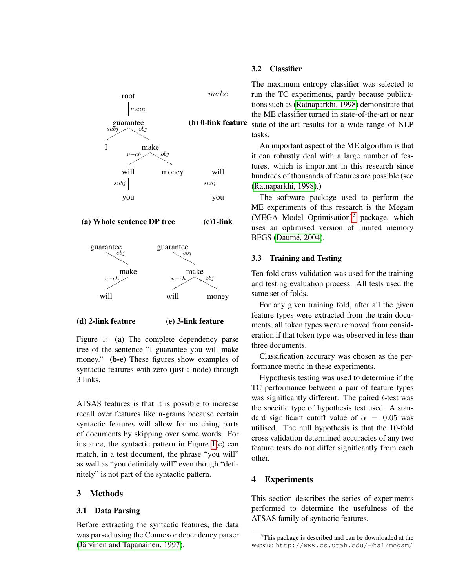

### (a) Whole sentence DP tree (c)1-link



#### (d) 2-link feature (e) 3-link feature

<span id="page-3-0"></span>Figure 1: (a) The complete dependency parse tree of the sentence "I guarantee you will make money." (b-e) These figures show examples of syntactic features with zero (just a node) through 3 links.

ATSAS features is that it is possible to increase recall over features like n-grams because certain syntactic features will allow for matching parts of documents by skipping over some words. For instance, the syntactic pattern in Figure [1\(](#page-3-0)c) can match, in a test document, the phrase "you will" as well as "you definitely will" even though "definitely" is not part of the syntactic pattern.

### 3 Methods

#### 3.1 Data Parsing

Before extracting the syntactic features, the data was parsed using the Connexor dependency parser (Järvinen and Tapanainen, 1997).

### 3.2 Classifier

(b) **0-link feature** state-of-the-art results for a wide range of NLP The maximum entropy classifier was selected to run the TC experiments, partly because publications such as [\(Ratnaparkhi, 1998\)](#page-8-2) demonstrate that the ME classifier turned in state-of-the-art or near tasks.

> An important aspect of the ME algorithm is that it can robustly deal with a large number of features, which is important in this research since hundreds of thousands of features are possible (see [\(Ratnaparkhi, 1998\)](#page-8-2).)

> The software package used to perform the ME experiments of this research is the Megam (MEGA Model Optimisation)<sup>[3](#page-3-1)</sup> package, which uses an optimised version of limited memory BFGS (Daumé, 2004).

#### 3.3 Training and Testing

Ten-fold cross validation was used for the training and testing evaluation process. All tests used the same set of folds.

For any given training fold, after all the given feature types were extracted from the train documents, all token types were removed from consideration if that token type was observed in less than three documents.

Classification accuracy was chosen as the performance metric in these experiments.

Hypothesis testing was used to determine if the TC performance between a pair of feature types was significantly different. The paired t-test was the specific type of hypothesis test used. A standard significant cutoff value of  $\alpha = 0.05$  was utilised. The null hypothesis is that the 10-fold cross validation determined accuracies of any two feature tests do not differ significantly from each other.

### 4 Experiments

This section describes the series of experiments performed to determine the usefulness of the ATSAS family of syntactic features.

<span id="page-3-1"></span><sup>&</sup>lt;sup>3</sup>This package is described and can be downloaded at the website: http://www.cs.utah.edu/∼hal/megam/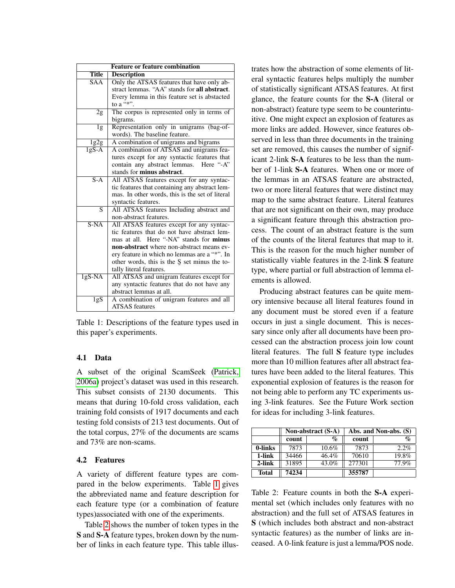|                    | <b>Feature or feature combination</b>           |
|--------------------|-------------------------------------------------|
| <b>Title</b>       | <b>Description</b>                              |
| SAA                | Only the ATSAS features that have only ab-      |
|                    | stract lemmas. "AA" stands for all abstract.    |
|                    | Every lemma in this feature set is abstacted    |
|                    | to a "*".                                       |
| $\overline{2g}$    | The corpus is represented only in terms of      |
|                    | bigrams.                                        |
| 1g                 | Representation only in unigrams (bag-of-        |
|                    | words). The baseline feature.                   |
| 1g2g               | A combination of unigrams and bigrams           |
| $\overline{1gS-A}$ | A combination of ATSAS and unigrams fea-        |
|                    | tures except for any syntactic features that    |
|                    | contain any abstract lemmas.<br>Here "-A"       |
|                    | stands for minus abstract.                      |
| $S-A$              | All ATSAS features except for any syntac-       |
|                    | tic features that containing any abstract lem-  |
|                    | mas. In other words, this is the set of literal |
|                    | syntactic features.                             |
| $\overline{S}$     | All ATSAS features Including abstract and       |
|                    | non-abstract features.                          |
| $S-NA$             | All ATSAS features except for any syntac-       |
|                    | tic features that do not have abstract lem-     |
|                    | mas at all. Here "-NA" stands for <b>minus</b>  |
|                    | non-abstract where non-abstract means ev-       |
|                    | ery feature in which no lemmas are a "*". In    |
|                    | other words, this is the S set minus the to-    |
|                    | tally literal features.                         |
| $1gS-NA$           | All ATSAS and unigram features except for       |
|                    | any syntactic features that do not have any     |
|                    | abstract lemmas at all.                         |
| $\overline{1gS}$   | A combination of unigram features and all       |
|                    | <b>ATSAS</b> features                           |

<span id="page-4-0"></span>Table 1: Descriptions of the feature types used in this paper's experiments.

### 4.1 Data

A subset of the original ScamSeek [\(Patrick,](#page-7-10) [2006a\)](#page-7-10) project's dataset was used in this research. This subset consists of 2130 documents. This means that during 10-fold cross validation, each training fold consists of 1917 documents and each testing fold consists of 213 test documents. Out of the total corpus, 27% of the documents are scams and 73% are non-scams.

### 4.2 Features

A variety of different feature types are compared in the below experiments. Table [1](#page-4-0) gives the abbreviated name and feature description for each feature type (or a combination of feature types)associated with one of the experiments.

Table [2](#page-4-1) shows the number of token types in the S and S-A feature types, broken down by the number of links in each feature type. This table illustrates how the abstraction of some elements of literal syntactic features helps multiply the number of statistically significant ATSAS features. At first glance, the feature counts for the S-A (literal or non-abstract) feature type seem to be counterintuitive. One might expect an explosion of features as more links are added. However, since features observed in less than three documents in the training set are removed, this causes the number of significant 2-link S-A features to be less than the number of 1-link S-A features. When one or more of the lemmas in an ATSAS feature are abstracted, two or more literal features that were distinct may map to the same abstract feature. Literal features that are not significant on their own, may produce a significant feature through this abstraction process. The count of an abstract feature is the sum of the counts of the literal features that map to it. This is the reason for the much higher number of statistically viable features in the 2-link S feature type, where partial or full abstraction of lemma elements is allowed.

Producing abstract features can be quite memory intensive because all literal features found in any document must be stored even if a feature occurs in just a single document. This is necessary since only after all documents have been processed can the abstraction process join low count literal features. The full S feature type includes more than 10 million features after all abstract features have been added to the literal features. This exponential explosion of features is the reason for not being able to perform any TC experiments using 3-link features. See the Future Work section for ideas for including 3-link features.

|         |       | Non-abstract (S-A) |        | Abs. and Non-abs. (S) |
|---------|-------|--------------------|--------|-----------------------|
|         | count | %                  | count  | $\mathcal{G}_0$       |
| 0-links | 7873  | $10.6\%$           | 7873   | $2.2\%$               |
| 1-link  | 34466 | 46.4%              | 70610  | 19.8%                 |
| 2-link  | 31895 | 43.0%              | 277301 | 77.9%                 |
| Total   | 74234 |                    | 355787 |                       |

<span id="page-4-1"></span>Table 2: Feature counts in both the S-A experimental set (which includes only features with no abstraction) and the full set of ATSAS features in S (which includes both abstract and non-abstract syntactic features) as the number of links are inceased. A 0-link feature is just a lemma/POS node.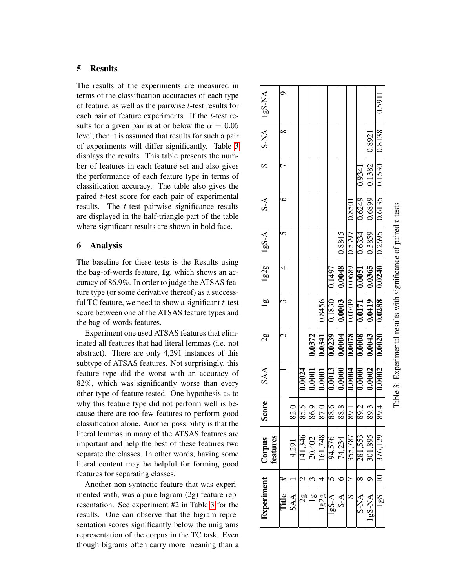# 5 Results

The results of the experiments are measured in terms of the classification accuracies of each type of feature, as well as the pairwise  $t$ -test results for each pair of feature experiments. If the  $t$ -test results for a given pair is at or below the  $\alpha = 0.05$ level, then it is assumed that results for such a pair of experiments will differ significantly. Table [3](#page-5-0) displays the results. This table presents the number of features in each feature set and also gives the performance of each feature type in terms of classification accuracy. The table also gives the paired t-test score for each pair of experimental results. The t-test pairwise significance results are displayed in the half-triangle part of the table where significant results are shown in bold face.

### 6 Analysis

The baseline for these tests is the Results using the bag-of-words feature, 1g, which shows an accuracy of 86.9%. In order to judge the ATSAS feature type (or some derivative thereof) as a successful TC feature, we need to show a significant  $t$ -test score between one of the ATSAS feature types and the bag-of-words features.

Experiment one used ATSAS features that eliminated all features that had literal lemmas (i.e. not abstract). There are only 4,291 instances of this subtype of ATSAS features. Not surprisingly, this feature type did the worst with an accuracy of 82%, which was significantly worse than every other type of feature tested. One hypothesis as to why this feature type did not perform well is because there are too few features to perform good classification alone. Another possibility is that the literal lemmas in many of the ATSAS features are important and help the best of these features two separate the classes. In other words, having some literal content may be helpful for forming good features for separating classes.

<span id="page-5-0"></span>Another non-syntactic feature that was experimented with, was a pure bigram (2g) feature representation. See experiment #2 in Table [3](#page-5-0) for the results. One can observe that the bigram representation scores significantly below the unigrams representation of the corpus in the TC task. Even though bigrams often carry more meaning than a

| Experiment     |   | Corpus                                                | Score                   | SAA                                                                                                                                                                                                                                                                                             | 37                  | $\overline{a}$ | $\lg 2g$ | $1gS-A$ | S-A |           | $\text{S-NA}$   $\text{2s}$ -NA |
|----------------|---|-------------------------------------------------------|-------------------------|-------------------------------------------------------------------------------------------------------------------------------------------------------------------------------------------------------------------------------------------------------------------------------------------------|---------------------|----------------|----------|---------|-----|-----------|---------------------------------|
|                |   | ieatures                                              |                         |                                                                                                                                                                                                                                                                                                 |                     |                |          |         |     |           |                                 |
| Title          | # |                                                       |                         |                                                                                                                                                                                                                                                                                                 |                     |                |          |         |     | $\propto$ |                                 |
| SAA            |   | 4,291                                                 |                         |                                                                                                                                                                                                                                                                                                 |                     |                |          |         |     |           |                                 |
| 2g             |   | 41,346                                                | 85.5                    | 0.0024                                                                                                                                                                                                                                                                                          |                     |                |          |         |     |           |                                 |
| $\overline{a}$ |   | 20,402                                                | 6.9                     | 0.0001                                                                                                                                                                                                                                                                                          | 0.0372              |                |          |         |     |           |                                 |
| 1g2g           |   | 161,748                                               | $\overline{7.0}$        | 0.0001                                                                                                                                                                                                                                                                                          | 0.0341              | 0.8456         |          |         |     |           |                                 |
| $1gS-A$        |   | 94,576                                                | $\frac{88.6}{88.8}$     | $\begin{tabular}{ c c c c c c c c c } \hline $0.0013$ & $0.0239$ & $0.1830$ & $0.1497$ \\ \hline $0.0000$ & $0.0004$ & $0.0003$ & $0.0048$ & $0.8845$ & $0.0000$ \\ \hline $0.0004$ & $0.0078$ & $0.0709$ & $0.0689$ & $0.5797$ & $0.8501$ & $0.0000$ & $0.0000$ & $0.0000$ & $0.0000$ & $0.00$ |                     |                |          |         |     |           |                                 |
| $S-A$          |   |                                                       |                         |                                                                                                                                                                                                                                                                                                 |                     |                |          |         |     |           |                                 |
| S              |   | $\frac{74,234}{355,787}$<br>$\frac{281,553}{281,553}$ | $-1.68$                 |                                                                                                                                                                                                                                                                                                 |                     |                |          |         |     |           |                                 |
| S-NA           |   |                                                       | $\frac{89.2}{\sqrt{2}}$ |                                                                                                                                                                                                                                                                                                 |                     |                |          |         |     |           |                                 |
| $1gS$ -NA      |   | 301,895                                               | $\overline{89.3}$       |                                                                                                                                                                                                                                                                                                 |                     |                |          |         |     | 0.8921    |                                 |
| $-581$         |   | 376,129                                               | <u>न</u><br>$\approx$   |                                                                                                                                                                                                                                                                                                 | $0.0002$   $0.0020$ |                |          |         |     |           | 0.5911                          |
|                |   |                                                       |                         |                                                                                                                                                                                                                                                                                                 |                     |                |          |         |     |           |                                 |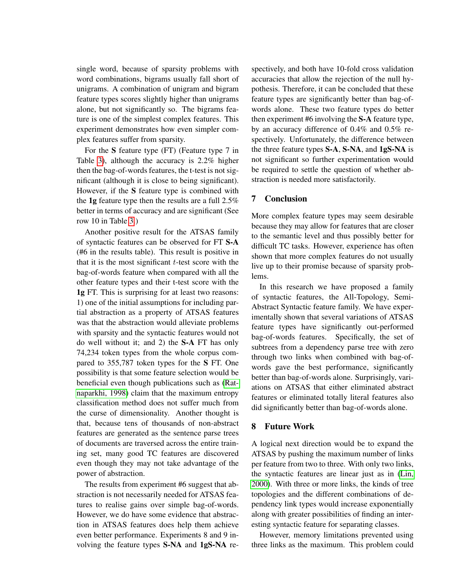single word, because of sparsity problems with word combinations, bigrams usually fall short of unigrams. A combination of unigram and bigram feature types scores slightly higher than unigrams alone, but not significantly so. The bigrams feature is one of the simplest complex features. This experiment demonstrates how even simpler complex features suffer from sparsity.

For the S feature type (FT) (Feature type 7 in Table [3\)](#page-5-0), although the accuracy is 2.2% higher then the bag-of-words features, the t-test is not significant (although it is close to being significant). However, if the S feature type is combined with the 1g feature type then the results are a full 2.5% better in terms of accuracy and are significant (See row 10 in Table [3.](#page-5-0))

Another positive result for the ATSAS family of syntactic features can be observed for FT S-A (#6 in the results table). This result is positive in that it is the most significant  $t$ -test score with the bag-of-words feature when compared with all the other feature types and their t-test score with the 1g FT. This is surprising for at least two reasons: 1) one of the initial assumptions for including partial abstraction as a property of ATSAS features was that the abstraction would alleviate problems with sparsity and the syntactic features would not do well without it; and 2) the S-A FT has only 74,234 token types from the whole corpus compared to 355,787 token types for the S FT. One possibility is that some feature selection would be beneficial even though publications such as [\(Rat](#page-8-2)[naparkhi, 1998\)](#page-8-2) claim that the maximum entropy classification method does not suffer much from the curse of dimensionality. Another thought is that, because tens of thousands of non-abstract features are generated as the sentence parse trees of documents are traversed across the entire training set, many good TC features are discovered even though they may not take advantage of the power of abstraction.

The results from experiment #6 suggest that abstraction is not necessarily needed for ATSAS features to realise gains over simple bag-of-words. However, we do have some evidence that abstraction in ATSAS features does help them achieve even better performance. Experiments 8 and 9 involving the feature types S-NA and 1gS-NA respectively, and both have 10-fold cross validation accuracies that allow the rejection of the null hypothesis. Therefore, it can be concluded that these feature types are significantly better than bag-ofwords alone. These two feature types do better then experiment #6 involving the S-A feature type, by an accuracy difference of 0.4% and 0.5% respectively. Unfortunately, the difference between the three feature types S-A, S-NA, and 1gS-NA is not significant so further experimentation would be required to settle the question of whether abstraction is needed more satisfactorily.

### 7 Conclusion

More complex feature types may seem desirable because they may allow for features that are closer to the semantic level and thus possibly better for difficult TC tasks. However, experience has often shown that more complex features do not usually live up to their promise because of sparsity problems.

In this research we have proposed a family of syntactic features, the All-Topology, Semi-Abstract Syntactic feature family. We have experimentally shown that several variations of ATSAS feature types have significantly out-performed bag-of-words features. Specifically, the set of subtrees from a dependency parse tree with zero through two links when combined with bag-ofwords gave the best performance, significantly better than bag-of-words alone. Surprisingly, variations on ATSAS that either eliminated abstract features or eliminated totally literal features also did significantly better than bag-of-words alone.

# 8 Future Work

A logical next direction would be to expand the ATSAS by pushing the maximum number of links per feature from two to three. With only two links, the syntactic features are linear just as in [\(Lin,](#page-7-3) [2000\)](#page-7-3). With three or more links, the kinds of tree topologies and the different combinations of dependency link types would increase exponentially along with greater possibilities of finding an interesting syntactic feature for separating classes.

However, memory limitations prevented using three links as the maximum. This problem could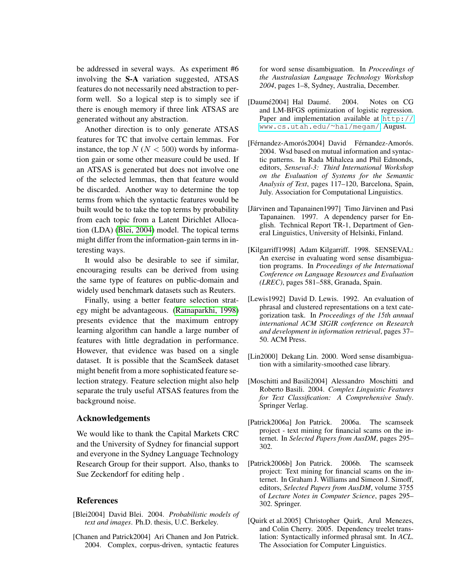be addressed in several ways. As experiment #6 involving the S-A variation suggested, ATSAS features do not necessarily need abstraction to perform well. So a logical step is to simply see if there is enough memory if three link ATSAS are generated without any abstraction.

Another direction is to only generate ATSAS features for TC that involve certain lemmas. For instance, the top  $N (N < 500)$  words by information gain or some other measure could be used. If an ATSAS is generated but does not involve one of the selected lemmas, then that feature would be discarded. Another way to determine the top terms from which the syntactic features would be built would be to take the top terms by probability from each topic from a Latent Dirichlet Allocation (LDA) [\(Blei, 2004\)](#page-7-11) model. The topical terms might differ from the information-gain terms in interesting ways.

It would also be desirable to see if similar, encouraging results can be derived from using the same type of features on public-domain and widely used benchmark datasets such as Reuters.

Finally, using a better feature selection strategy might be advantageous. [\(Ratnaparkhi, 1998\)](#page-8-2) presents evidence that the maximum entropy learning algorithm can handle a large number of features with little degradation in performance. However, that evidence was based on a single dataset. It is possible that the ScamSeek dataset might benefit from a more sophisticated feature selection strategy. Feature selection might also help separate the truly useful ATSAS features from the background noise.

### Acknowledgements

We would like to thank the Capital Markets CRC and the University of Sydney for financial support and everyone in the Sydney Language Technology Research Group for their support. Also, thanks to Sue Zeckendorf for editing help .

### References

- <span id="page-7-11"></span>[Blei2004] David Blei. 2004. *Probabilistic models of text and images*. Ph.D. thesis, U.C. Berkeley.
- <span id="page-7-5"></span>[Chanen and Patrick2004] Ari Chanen and Jon Patrick. 2004. Complex, corpus-driven, syntactic features

for word sense disambiguation. In *Proceedings of the Australasian Language Technology Workshop 2004*, pages 1–8, Sydney, Australia, December.

- <span id="page-7-9"></span>[Daumé2004] Hal Daumé. 2004. Notes on CG and LM-BFGS optimization of logistic regression. Paper and implementation available at [http://](http://www.cs.utah.edu/~hal/megam/) [www.cs.utah.edu/](http://www.cs.utah.edu/~hal/megam/)∼hal/megam/, August.
- <span id="page-7-7"></span>[Férnandez-Amorós2004] David Férnandez-Amorós. 2004. Wsd based on mutual information and syntactic patterns. In Rada Mihalcea and Phil Edmonds, editors, *Senseval-3: Third International Workshop on the Evaluation of Systems for the Semantic Analysis of Text*, pages 117–120, Barcelona, Spain, July. Association for Computational Linguistics.
- <span id="page-7-8"></span>[Järvinen and Tapanainen1997] Timo Järvinen and Pasi Tapanainen. 1997. A dependency parser for English. Technical Report TR-1, Department of General Linguistics, University of Helsinki, Finland.
- <span id="page-7-4"></span>[Kilgarriff1998] Adam Kilgarriff. 1998. SENSEVAL: An exercise in evaluating word sense disambiguation programs. In *Proceedings of the International Conference on Language Resources and Evaluation (LREC)*, pages 581–588, Granada, Spain.
- <span id="page-7-1"></span>[Lewis1992] David D. Lewis. 1992. An evaluation of phrasal and clustered representations on a text categorization task. In *Proceedings of the 15th annual international ACM SIGIR conference on Research and development in information retrieval*, pages 37– 50. ACM Press.
- <span id="page-7-3"></span>[Lin2000] Dekang Lin. 2000. Word sense disambiguation with a similarity-smoothed case library.
- <span id="page-7-0"></span>[Moschitti and Basili2004] Alessandro Moschitti and Roberto Basili. 2004. *Complex Linguistic Features for Text Classification: A Comprehensive Study*. Springer Verlag.
- <span id="page-7-10"></span>[Patrick2006a] Jon Patrick. 2006a. The scamseek project - text mining for financial scams on the internet. In *Selected Papers from AusDM*, pages 295– 302.
- <span id="page-7-2"></span>[Patrick2006b] Jon Patrick. 2006b. The scamseek project: Text mining for financial scams on the internet. In Graham J. Williams and Simeon J. Simoff, editors, *Selected Papers from AusDM*, volume 3755 of *Lecture Notes in Computer Science*, pages 295– 302. Springer.
- <span id="page-7-6"></span>[Quirk et al.2005] Christopher Quirk, Arul Menezes, and Colin Cherry. 2005. Dependency treelet translation: Syntactically informed phrasal smt. In *ACL*. The Association for Computer Linguistics.